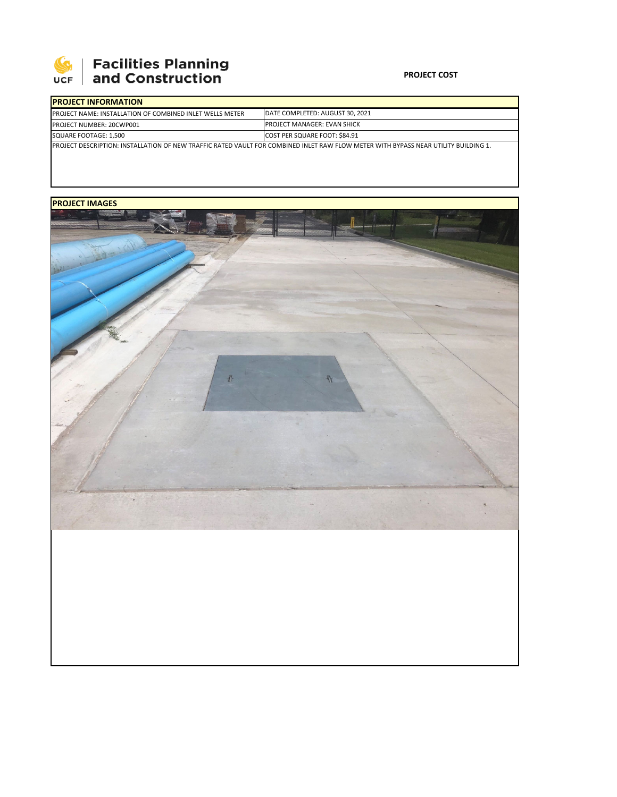

## **Facilities Planning<br>and Construction**

### **PROJECT COST**

| <b>IPROJECT INFORMATION</b>                                                                                                                 |                                    |  |  |  |
|---------------------------------------------------------------------------------------------------------------------------------------------|------------------------------------|--|--|--|
| <b>IPROJECT NAME: INSTALLATION OF COMBINED INLET WELLS METER</b>                                                                            | DATE COMPLETED: AUGUST 30, 2021    |  |  |  |
| PROJECT NUMBER: 20CWP001                                                                                                                    | <b>PROJECT MANAGER: EVAN SHICK</b> |  |  |  |
| SQUARE FOOTAGE: 1.500                                                                                                                       | COST PER SQUARE FOOT: \$84.91      |  |  |  |
| <u>IPROJECT DESCRIPTION: INSTALLATION OF NEW TRAFFIC RATED VAULT FOR COMBINED INLET RAW FLOW METER WITH BYPASS NEAR UTILITY BUILDING 1.</u> |                                    |  |  |  |

## **PROJECT IMAGES**